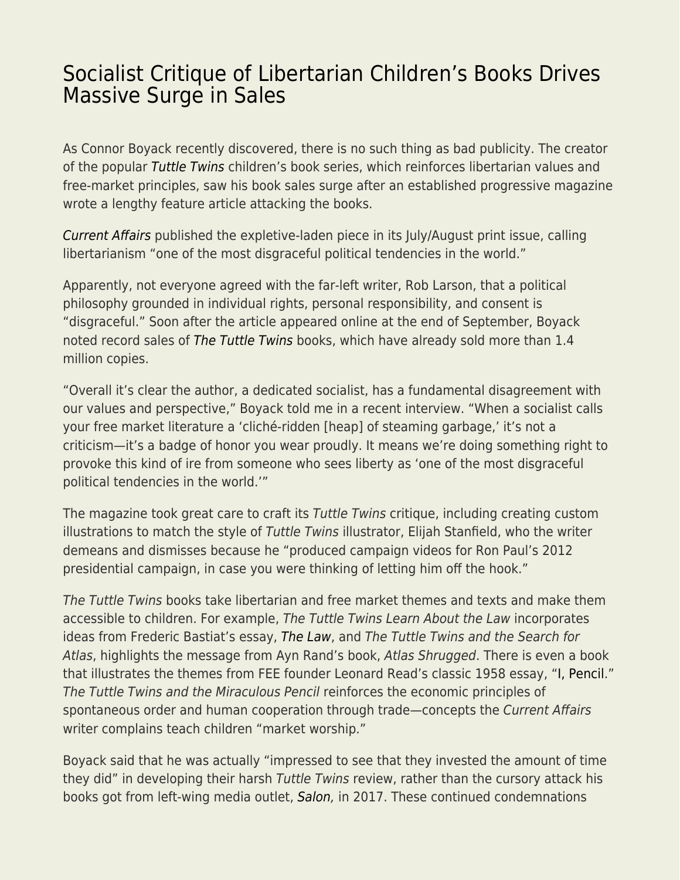## [Socialist Critique of Libertarian Children's Books Drives](https://everything-voluntary.com/socialist-critique-of-libertarian-childrens-books-drives-massive-surge-in-sales) [Massive Surge in Sales](https://everything-voluntary.com/socialist-critique-of-libertarian-childrens-books-drives-massive-surge-in-sales)

As Connor Boyack recently discovered, there is no such thing as bad publicity. The creator of the popular [Tuttle Twins](http://tuttletwins.com/?ap_id=skylerjcollins) children's book series, which reinforces libertarian values and free-market principles, saw his book sales surge after an established progressive magazine wrote a lengthy feature article attacking the books.

[Current Affairs](https://www.currentaffairs.org/2020/09/the-tuttle-twins-and-the-case-of-the-really-bad-libertarian-propaganda) published the expletive-laden piece in its July/August print issue, calling libertarianism "one of the most disgraceful political tendencies in the world."

Apparently, not everyone agreed with the far-left writer, Rob Larson, that a political philosophy grounded in individual rights, personal responsibility, and consent is "disgraceful." Soon after the article appeared online at the end of September, Boyack noted record sales of [The Tuttle Twins](http://tuttletwins.com/?ap_id=skylerjcollins) books, which have already sold more than 1.4 million copies.

"Overall it's clear the author, a dedicated socialist, has a fundamental disagreement with our values and perspective," Boyack told me in a recent interview. "When a socialist calls your free market literature a 'cliché-ridden [heap] of steaming garbage,' it's not a criticism—it's a badge of honor you wear proudly. It means we're doing something right to provoke this kind of ire from someone who sees liberty as 'one of the most disgraceful political tendencies in the world.'"

The magazine took great care to craft its Tuttle Twins critique, including creating custom illustrations to match the style of Tuttle Twins illustrator, Elijah Stanfield, who the writer demeans and dismisses because he "produced campaign videos for Ron Paul's 2012 presidential campaign, in case you were thinking of letting him off the hook."

The Tuttle Twins books take libertarian and free market themes and texts and make them accessible to children. For example, The Tuttle Twins Learn About the Law incorporates ideas from Frederic Bastiat's essay, [The Law](https://store.fee.org/collections/best-sellers/products/the-law), and The Tuttle Twins and the Search for Atlas, highlights the message from Ayn Rand's book, Atlas Shrugged. There is even a book that illustrates the themes from FEE founder Leonard Read's classic 1958 essay, ["I, Pencil](https://store.fee.org/collections/best-sellers/products/i-pencil)." The Tuttle Twins and the Miraculous Pencil reinforces the economic principles of spontaneous order and human cooperation through trade—concepts the Current Affairs writer complains teach children "market worship."

Boyack said that he was actually "impressed to see that they invested the amount of time they did" in developing their harsh Tuttle Twins review, rather than the cursory attack his books got from left-wing media outlet, [Salon,](https://www.salon.com/2017/11/29/a-kids-book-wants-to-teach-your-children-to-love-ayn-rands-atlas-shrugged/) in 2017. These continued condemnations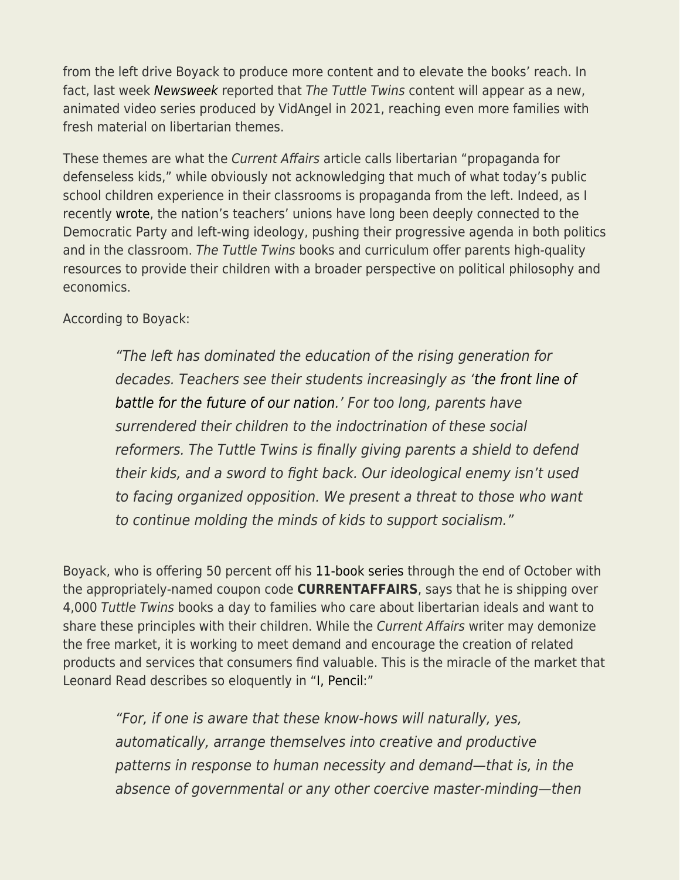from the left drive Boyack to produce more content and to elevate the books' reach. In fact, last week [Newsweek](https://www.newsweek.com/animated-show-tuttle-twins-will-promote-capitalism-slam-socialism-1538434?mc_cid=5a58acd29c&mc_eid=3619baf3ad) reported that The Tuttle Twins content will appear as a new, animated video series produced by VidAngel in 2021, reaching even more families with fresh material on libertarian themes.

These themes are what the Current Affairs article calls libertarian "propaganda for defenseless kids," while obviously not acknowledging that much of what today's public school children experience in their classrooms is propaganda from the left. Indeed, as I recently [wrote](https://fee.org/articles/teacher-unions-are-more-powerful-than-you-realize-but-that-may-be-changing/), the nation's teachers' unions have long been deeply connected to the Democratic Party and left-wing ideology, pushing their progressive agenda in both politics and in the classroom. The Tuttle Twins books and curriculum offer parents high-quality resources to provide their children with a broader perspective on political philosophy and economics.

According to Boyack:

"The left has dominated the education of the rising generation for decades. Teachers see their students increasingly as ['the front line of](https://tuttletwins.com/email/is-liberal-agenda-advocacy-just-the-norm-in-teaching-now/) [battle for the future of our nation.](https://tuttletwins.com/email/is-liberal-agenda-advocacy-just-the-norm-in-teaching-now/)' For too long, parents have surrendered their children to the indoctrination of these social reformers. The Tuttle Twins is finally giving parents a shield to defend their kids, and a sword to fight back. Our ideological enemy isn't used to facing organized opposition. We present a threat to those who want to continue molding the minds of kids to support socialism."

Boyack, who is offering 50 percent off his [11-book series](http://tuttletwins.com/?ap_id=skylerjcollins) through the end of October with the appropriately-named coupon code **CURRENTAFFAIRS**, says that he is shipping over 4,000 Tuttle Twins books a day to families who care about libertarian ideals and want to share these principles with their children. While the Current Affairs writer may demonize the free market, it is working to meet demand and encourage the creation of related products and services that consumers find valuable. This is the miracle of the market that Leonard Read describes so eloquently in ["I, Pencil](https://store.fee.org/collections/best-sellers/products/i-pencil):"

"For, if one is aware that these know-hows will naturally, yes, automatically, arrange themselves into creative and productive patterns in response to human necessity and demand—that is, in the absence of governmental or any other coercive master-minding—then